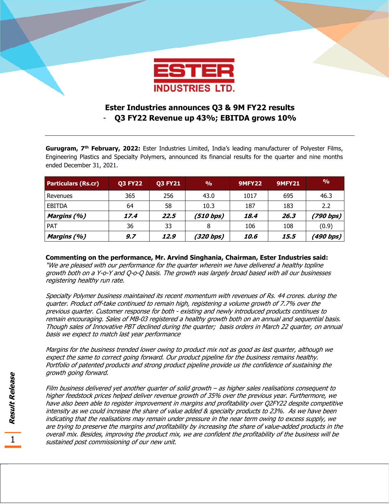

# **Ester Industries announces Q3 & 9M FY22 results**  - **Q3 FY22 Revenue up 43%; EBITDA grows 10%**

**Gurugram, 7th February, 2022:** Ester Industries Limited, India's leading manufacturer of Polyester Films, Engineering Plastics and Specialty Polymers, announced its financial results for the quarter and nine months ended December 31, 2021.

| <b>Particulars (Rs.cr)</b> | <b>Q3 FY22</b> | <b>Q3 FY21</b> | $\frac{0}{0}$ | <b>9MFY22</b>      | <b>9MFY21</b> | $\frac{9}{0}$ |
|----------------------------|----------------|----------------|---------------|--------------------|---------------|---------------|
| l Revenues                 | 365            | 256            | 43.0          | 1017               | 695           | 46.3          |
| <b>EBITDA</b>              | 64             | 58             | 10.3          | 187                | 183           | 2.2           |
| Margins (%)                | 17.4           | 22.5           | (510 bps)     | 18.4               | 26.3          | (790 bps)     |
| PAT                        | 36             | 33             | 8             | 106                | 108           | (0.9)         |
| Margins (%)                | 9.7            | 12.9           | (320 bps)     | <i><b>10.6</b></i> | 15,5          | (490 bps)     |

## **Commenting on the performance, Mr. Arvind Singhania, Chairman, Ester Industries said:**

"We are pleased with our performance for the quarter wherein we have delivered a healthy topline growth both on a Y-o-Y and Q-o-Q basis. The growth was largely broad based with all our businesses registering healthy run rate.

Specialty Polymer business maintained its recent momentum with revenues of Rs. 44 crores. during the quarter. Product off-take continued to remain high, registering a volume growth of 7.7% over the previous quarter. Customer response for both - existing and newly introduced products continues to remain encouraging. Sales of MB-03 registered a healthy growth both on an annual and sequential basis. Though sales of Innovative PBT declined during the quarter; basis orders in March 22 quarter, on annual basis we expect to match last year performance

Margins for the business trended lower owing to product mix not as good as last quarter, although we expect the same to correct going forward. Our product pipeline for the business remains healthy. Portfolio of patented products and strong product pipeline provide us the confidence of sustaining the growth going forward.

Film business delivered yet another quarter of solid growth – as higher sales realisations consequent to higher feedstock prices helped deliver revenue growth of 35% over the previous year. Furthermore, we have also been able to register improvement in margins and profitability over Q2FY22 despite competitive intensity as we could increase the share of value added & specialty products to 23%. As we have been indicating that the realisations may remain under pressure in the near term owing to excess supply, we are trying to preserve the margins and profitability by increasing the share of value-added products in the overall mix. Besides, improving the product mix, we are confident the profitability of the business will be sustained post commissioning of our new unit.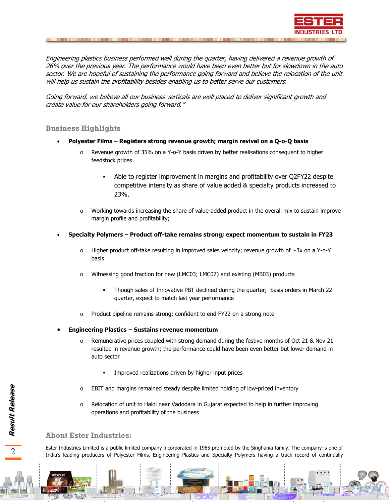

Engineering plastics business performed well during the quarter, having delivered a revenue growth of 26% over the previous year. The performance would have been even better but for slowdown in the auto sector. We are hopeful of sustaining the performance going forward and believe the relocation of the unit will help us sustain the profitability besides enabling us to better serve our customers.

Going forward, we believe all our business verticals are well placed to deliver significant growth and create value for our shareholders going forward."

### **Business Highlights**

- **Polyester Films Registers strong revenue growth; margin revival on a Q-o-Q basis** 
	- Revenue growth of 35% on a Y-o-Y basis driven by better realisations consequent to higher feedstock prices
		- Able to register improvement in margins and profitability over Q2FY22 despite competitive intensity as share of value added & specialty products increased to 23%.
	- $\circ$  Working towards increasing the share of value-added product in the overall mix to sustain improve margin profile and profitability;
- **Specialty Polymers Product off-take remains strong; expect momentum to sustain in FY23** 
	- $\circ$  Higher product off-take resulting in improved sales velocity; revenue growth of  $\sim$ 3x on a Y-o-Y basis
	- o Witnessing good traction for new (LMC03; LMC07) and existing (MB03) products
		- Though sales of Innovative PBT declined during the quarter; basis orders in March 22 quarter, expect to match last year performance
	- Product pipeline remains strong; confident to end FY22 on a strong note
- **Engineering Plastics Sustains revenue momentum** 
	- Remunerative prices coupled with strong demand during the festive months of Oct 21 & Nov 21 resulted in revenue growth; the performance could have been even better but lower demand in auto sector
		- Improved realizations driven by higher input prices
	- o EBIT and margins remained steady despite limited holding of low-priced inventory
	- Relocation of unit to Halol near Vadodara in Gujarat expected to help in further improving operations and profitability of the business

#### **About Ester Industries:**

Ester Industries Limited is a public limited company incorporated in 1985 promoted by the Singhania family. The company is one of India's leading producers of Polyester Films, Engineering Plastics and Specialty Polymers having a track record of continually

 $\overline{2}$